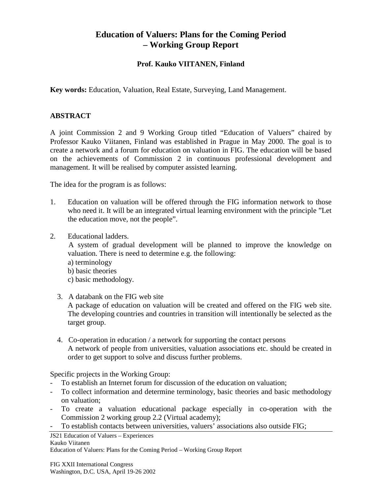## **Education of Valuers: Plans for the Coming Period – Working Group Report**

## **Prof. Kauko VIITANEN, Finland**

**Key words:** Education, Valuation, Real Estate, Surveying, Land Management.

## **ABSTRACT**

A joint Commission 2 and 9 Working Group titled "Education of Valuers" chaired by Professor Kauko Viitanen, Finland was established in Prague in May 2000. The goal is to create a network and a forum for education on valuation in FIG. The education will be based on the achievements of Commission 2 in continuous professional development and management. It will be realised by computer assisted learning.

The idea for the program is as follows:

- 1. Education on valuation will be offered through the FIG information network to those who need it. It will be an integrated virtual learning environment with the principle "Let the education move, not the people".
- 2. Educational ladders.

A system of gradual development will be planned to improve the knowledge on valuation. There is need to determine e.g. the following:

- a) terminology
- b) basic theories
- c) basic methodology.
- 3. A databank on the FIG web site

A package of education on valuation will be created and offered on the FIG web site. The developing countries and countries in transition will intentionally be selected as the target group.

4. Co-operation in education / a network for supporting the contact persons A network of people from universities, valuation associations etc. should be created in order to get support to solve and discuss further problems.

Specific projects in the Working Group:

- *-* To establish an Internet forum for discussion of the education on valuation;
- *-* To collect information and determine terminology, basic theories and basic methodology on valuation;
- *-* To create a valuation educational package especially in co-operation with the Commission 2 working group 2.2 (Virtual academy);
- *-* To establish contacts between universities, valuers' associations also outside FIG;

JS21 Education of Valuers – Experiences Kauko Viitanen Education of Valuers: Plans for the Coming Period – Working Group Report